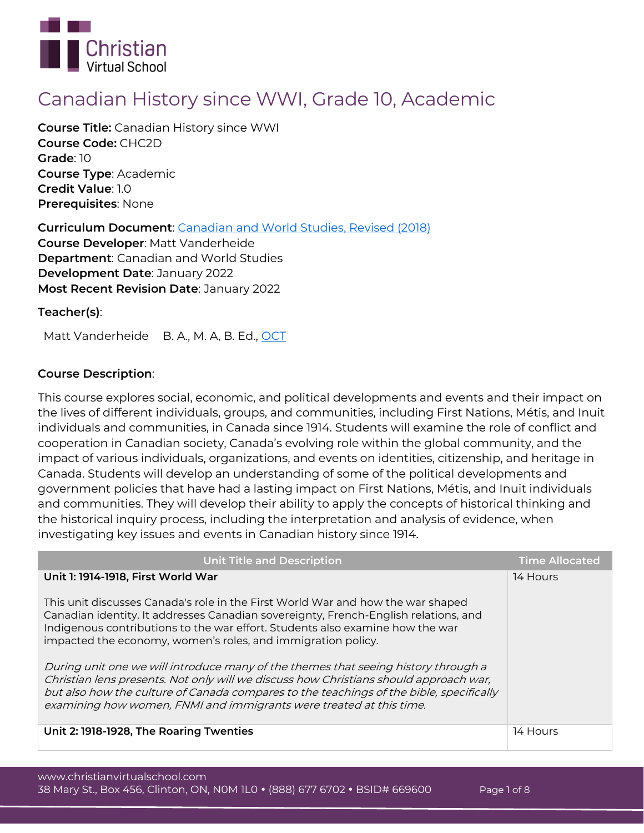

# **Canadian History since WWI, Grade 10, Academic**

**Course Title:** Canadian History since WWI **Course Code:** CHC2D **Grade**: 10 **Course Type**: Academic **Credit Value**: 1.0 **Prerequisites**: None

**Curriculum Document**: [Canadian and World Studies, Revised \(2018\)](http://www.edu.gov.on.ca/eng/curriculum/secondary/canworld910curr2018.pdf) **Course Developer**: Matt Vanderheide **Department**: Canadian and World Studies **Development Date**: January 2022 **Most Recent Revision Date**: January 2022

**Teacher(s)**:

Matt Vanderheide B. A., M. A, B. Ed., [OCT](https://apps.oct.ca/FindATeacher/memberdetail?id=593946)

# **Course Description**:

This course explores social, economic, and political developments and events and their impact on the lives of different individuals, groups, and communities, including First Nations, Métis, and Inuit individuals and communities, in Canada since 1914. Students will examine the role of conflict and cooperation in Canadian society, Canada's evolving role within the global community, and the impact of various individuals, organizations, and events on identities, citizenship, and heritage in Canada. Students will develop an understanding of some of the political developments and government policies that have had a lasting impact on First Nations, Métis, and Inuit individuals and communities. They will develop their ability to apply the concepts of historical thinking and the historical inquiry process, including the interpretation and analysis of evidence, when investigating key issues and events in Canadian history since 1914.

| <b>Unit Title and Description</b>                                                                                                                                                                                                                                                                                                                                                                                                                                                                                                                                                                 | <b>Time Allocated</b> |
|---------------------------------------------------------------------------------------------------------------------------------------------------------------------------------------------------------------------------------------------------------------------------------------------------------------------------------------------------------------------------------------------------------------------------------------------------------------------------------------------------------------------------------------------------------------------------------------------------|-----------------------|
| Unit 1: 1914-1918, First World War                                                                                                                                                                                                                                                                                                                                                                                                                                                                                                                                                                | 14 Hours              |
| This unit discusses Canada's role in the First World War and how the war shaped<br>Canadian identity. It addresses Canadian sovereignty, French-English relations, and<br>Indigenous contributions to the war effort. Students also examine how the war<br>impacted the economy, women's roles, and immigration policy.<br>During unit one we will introduce many of the themes that seeing history through a<br>Christian lens presents. Not only will we discuss how Christians should approach war,<br>but also how the culture of Canada compares to the teachings of the bible, specifically |                       |
| examining how women, FNMI and immigrants were treated at this time.                                                                                                                                                                                                                                                                                                                                                                                                                                                                                                                               |                       |
| Unit 2: 1918-1928, The Roaring Twenties                                                                                                                                                                                                                                                                                                                                                                                                                                                                                                                                                           | 14 Hours              |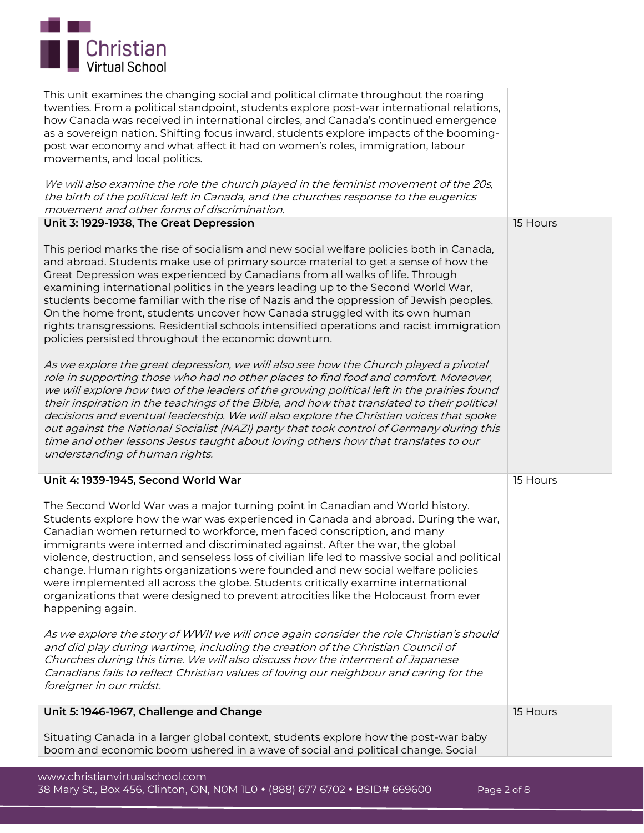

| Unit 5: 1946-1967, Challenge and Change<br>Situating Canada in a larger global context, students explore how the post-war baby<br>boom and economic boom ushered in a wave of social and political change. Social                                                                                                                                                                                                                                                                                                                                                                                                                                                                                                  | 15 Hours |
|--------------------------------------------------------------------------------------------------------------------------------------------------------------------------------------------------------------------------------------------------------------------------------------------------------------------------------------------------------------------------------------------------------------------------------------------------------------------------------------------------------------------------------------------------------------------------------------------------------------------------------------------------------------------------------------------------------------------|----------|
| As we explore the story of WWII we will once again consider the role Christian's should<br>and did play during wartime, including the creation of the Christian Council of<br>Churches during this time. We will also discuss how the interment of Japanese<br>Canadians fails to reflect Christian values of loving our neighbour and caring for the<br>foreigner in our midst.                                                                                                                                                                                                                                                                                                                                   |          |
| The Second World War was a major turning point in Canadian and World history.<br>Students explore how the war was experienced in Canada and abroad. During the war,<br>Canadian women returned to workforce, men faced conscription, and many<br>immigrants were interned and discriminated against. After the war, the global<br>violence, destruction, and senseless loss of civilian life led to massive social and political<br>change. Human rights organizations were founded and new social welfare policies<br>were implemented all across the globe. Students critically examine international<br>organizations that were designed to prevent atrocities like the Holocaust from ever<br>happening again. |          |
| Unit 4: 1939-1945, Second World War                                                                                                                                                                                                                                                                                                                                                                                                                                                                                                                                                                                                                                                                                | 15 Hours |
| As we explore the great depression, we will also see how the Church played a pivotal<br>role in supporting those who had no other places to find food and comfort. Moreover,<br>we will explore how two of the leaders of the growing political left in the prairies found<br>their inspiration in the teachings of the Bible, and how that translated to their political<br>decisions and eventual leadership. We will also explore the Christian voices that spoke<br>out against the National Socialist (NAZI) party that took control of Germany during this<br>time and other lessons Jesus taught about loving others how that translates to our<br>understanding of human rights.                           |          |
| This period marks the rise of socialism and new social welfare policies both in Canada,<br>and abroad. Students make use of primary source material to get a sense of how the<br>Great Depression was experienced by Canadians from all walks of life. Through<br>examining international politics in the years leading up to the Second World War,<br>students become familiar with the rise of Nazis and the oppression of Jewish peoples.<br>On the home front, students uncover how Canada struggled with its own human<br>rights transgressions. Residential schools intensified operations and racist immigration<br>policies persisted throughout the economic downturn.                                    |          |
| Unit 3: 1929-1938, The Great Depression                                                                                                                                                                                                                                                                                                                                                                                                                                                                                                                                                                                                                                                                            | 15 Hours |
| We will also examine the role the church played in the feminist movement of the 20s,<br>the birth of the political left in Canada, and the churches response to the eugenics<br>movement and other forms of discrimination.                                                                                                                                                                                                                                                                                                                                                                                                                                                                                        |          |
| This unit examines the changing social and political climate throughout the roaring<br>twenties. From a political standpoint, students explore post-war international relations,<br>how Canada was received in international circles, and Canada's continued emergence<br>as a sovereign nation. Shifting focus inward, students explore impacts of the booming-<br>post war economy and what affect it had on women's roles, immigration, labour<br>movements, and local politics.                                                                                                                                                                                                                                |          |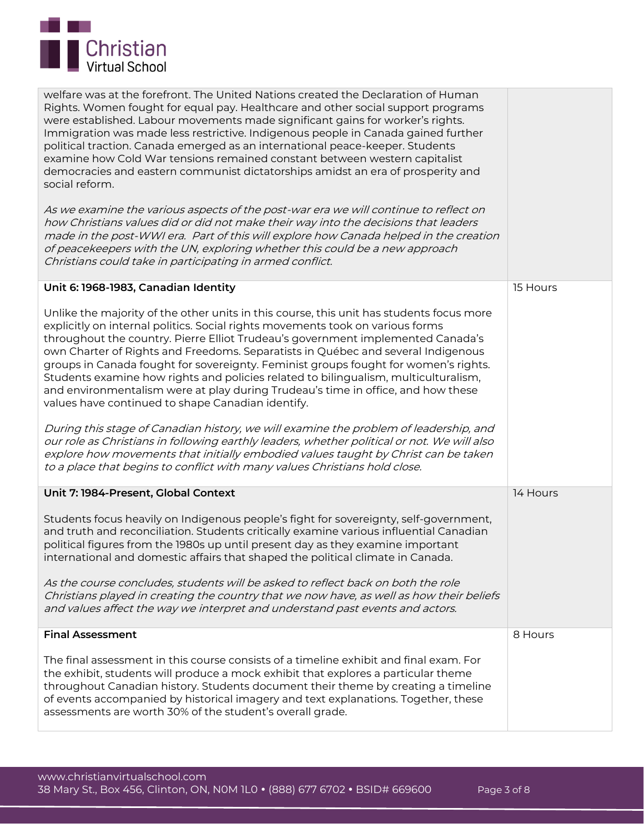

| welfare was at the forefront. The United Nations created the Declaration of Human<br>Rights. Women fought for equal pay. Healthcare and other social support programs<br>were established. Labour movements made significant gains for worker's rights.<br>Immigration was made less restrictive. Indigenous people in Canada gained further<br>political traction. Canada emerged as an international peace-keeper. Students<br>examine how Cold War tensions remained constant between western capitalist<br>democracies and eastern communist dictatorships amidst an era of prosperity and<br>social reform.<br>As we examine the various aspects of the post-war era we will continue to reflect on<br>how Christians values did or did not make their way into the decisions that leaders<br>made in the post-WWI era. Part of this will explore how Canada helped in the creation<br>of peacekeepers with the UN, exploring whether this could be a new approach<br>Christians could take in participating in armed conflict. |          |
|--------------------------------------------------------------------------------------------------------------------------------------------------------------------------------------------------------------------------------------------------------------------------------------------------------------------------------------------------------------------------------------------------------------------------------------------------------------------------------------------------------------------------------------------------------------------------------------------------------------------------------------------------------------------------------------------------------------------------------------------------------------------------------------------------------------------------------------------------------------------------------------------------------------------------------------------------------------------------------------------------------------------------------------|----------|
| Unit 6: 1968-1983, Canadian Identity                                                                                                                                                                                                                                                                                                                                                                                                                                                                                                                                                                                                                                                                                                                                                                                                                                                                                                                                                                                                 | 15 Hours |
| Unlike the majority of the other units in this course, this unit has students focus more<br>explicitly on internal politics. Social rights movements took on various forms<br>throughout the country. Pierre Elliot Trudeau's government implemented Canada's<br>own Charter of Rights and Freedoms. Separatists in Québec and several Indigenous<br>groups in Canada fought for sovereignty. Feminist groups fought for women's rights.<br>Students examine how rights and policies related to bilingualism, multiculturalism,<br>and environmentalism were at play during Trudeau's time in office, and how these<br>values have continued to shape Canadian identify.<br>During this stage of Canadian history, we will examine the problem of leadership, and<br>our role as Christians in following earthly leaders, whether political or not. We will also<br>explore how movements that initially embodied values taught by Christ can be taken<br>to a place that begins to conflict with many values Christians hold close. |          |
| Unit 7: 1984-Present, Global Context                                                                                                                                                                                                                                                                                                                                                                                                                                                                                                                                                                                                                                                                                                                                                                                                                                                                                                                                                                                                 | 14 Hours |
| Students focus heavily on Indigenous people's fight for sovereignty, self-government,<br>and truth and reconciliation. Students critically examine various influential Canadian<br>political figures from the 1980s up until present day as they examine important<br>international and domestic affairs that shaped the political climate in Canada.<br>As the course concludes, students will be asked to reflect back on both the role<br>Christians played in creating the country that we now have, as well as how their beliefs<br>and values affect the way we interpret and understand past events and actors.                                                                                                                                                                                                                                                                                                                                                                                                               |          |
| <b>Final Assessment</b>                                                                                                                                                                                                                                                                                                                                                                                                                                                                                                                                                                                                                                                                                                                                                                                                                                                                                                                                                                                                              | 8 Hours  |
| The final assessment in this course consists of a timeline exhibit and final exam. For<br>the exhibit, students will produce a mock exhibit that explores a particular theme<br>throughout Canadian history. Students document their theme by creating a timeline<br>of events accompanied by historical imagery and text explanations. Together, these<br>assessments are worth 30% of the student's overall grade.                                                                                                                                                                                                                                                                                                                                                                                                                                                                                                                                                                                                                 |          |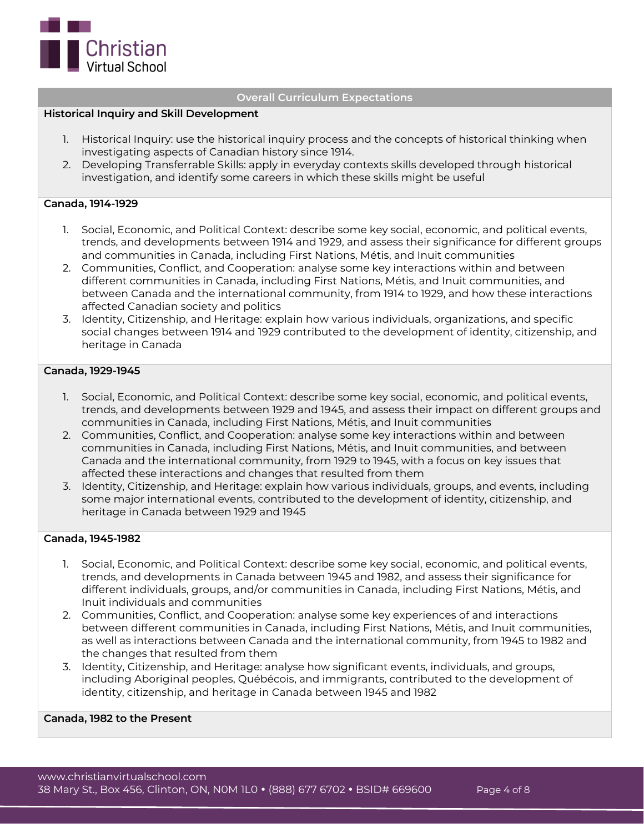

### **Overall Curriculum Expectations**

### **Historical Inquiry and Skill Development**

- 1. Historical Inquiry: use the historical inquiry process and the concepts of historical thinking when investigating aspects of Canadian history since 1914.
- 2. Developing Transferrable Skills: apply in everyday contexts skills developed through historical investigation, and identify some careers in which these skills might be useful

### **Canada, 1914-1929**

- 1. Social, Economic, and Political Context: describe some key social, economic, and political events, trends, and developments between 1914 and 1929, and assess their significance for different groups and communities in Canada, including First Nations, Métis, and Inuit communities
- 2. Communities, Conflict, and Cooperation: analyse some key interactions within and between different communities in Canada, including First Nations, Métis, and Inuit communities, and between Canada and the international community, from 1914 to 1929, and how these interactions affected Canadian society and politics
- 3. Identity, Citizenship, and Heritage: explain how various individuals, organizations, and specific social changes between 1914 and 1929 contributed to the development of identity, citizenship, and heritage in Canada

### **Canada, 1929-1945**

- 1. Social, Economic, and Political Context: describe some key social, economic, and political events, trends, and developments between 1929 and 1945, and assess their impact on different groups and communities in Canada, including First Nations, Métis, and Inuit communities
- 2. Communities, Conflict, and Cooperation: analyse some key interactions within and between communities in Canada, including First Nations, Métis, and Inuit communities, and between Canada and the international community, from 1929 to 1945, with a focus on key issues that affected these interactions and changes that resulted from them
- 3. Identity, Citizenship, and Heritage: explain how various individuals, groups, and events, including some major international events, contributed to the development of identity, citizenship, and heritage in Canada between 1929 and 1945

#### **Canada, 1945-1982**

- 1. Social, Economic, and Political Context: describe some key social, economic, and political events, trends, and developments in Canada between 1945 and 1982, and assess their significance for different individuals, groups, and/or communities in Canada, including First Nations, Métis, and Inuit individuals and communities
- 2. Communities, Conflict, and Cooperation: analyse some key experiences of and interactions between different communities in Canada, including First Nations, Métis, and Inuit communities, as well as interactions between Canada and the international community, from 1945 to 1982 and the changes that resulted from them
- 3. Identity, Citizenship, and Heritage: analyse how significant events, individuals, and groups, including Aboriginal peoples, Québécois, and immigrants, contributed to the development of identity, citizenship, and heritage in Canada between 1945 and 1982

### **Canada, 1982 to the Present**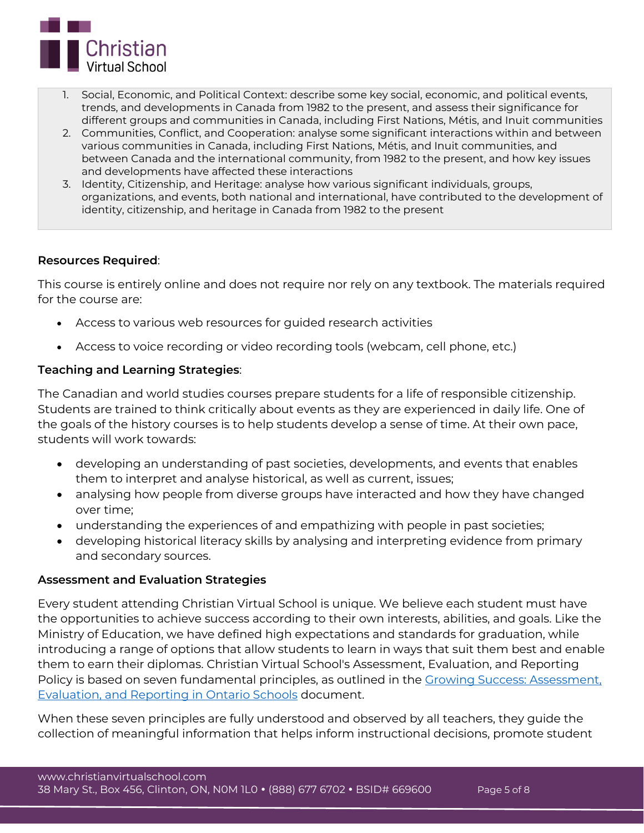

- 1. Social, Economic, and Political Context: describe some key social, economic, and political events, trends, and developments in Canada from 1982 to the present, and assess their significance for different groups and communities in Canada, including First Nations, Métis, and Inuit communities
- 2. Communities, Conflict, and Cooperation: analyse some significant interactions within and between various communities in Canada, including First Nations, Métis, and Inuit communities, and between Canada and the international community, from 1982 to the present, and how key issues and developments have affected these interactions
- 3. Identity, Citizenship, and Heritage: analyse how various significant individuals, groups, organizations, and events, both national and international, have contributed to the development of identity, citizenship, and heritage in Canada from 1982 to the present

# **Resources Required**:

This course is entirely online and does not require nor rely on any textbook. The materials required for the course are:

- Access to various web resources for guided research activities
- Access to voice recording or video recording tools (webcam, cell phone, etc.)

# **Teaching and Learning Strategies**:

The Canadian and world studies courses prepare students for a life of responsible citizenship. Students are trained to think critically about events as they are experienced in daily life. One of the goals of the history courses is to help students develop a sense of time. At their own pace, students will work towards:

- developing an understanding of past societies, developments, and events that enables them to interpret and analyse historical, as well as current, issues;
- analysing how people from diverse groups have interacted and how they have changed over time;
- understanding the experiences of and empathizing with people in past societies;
- developing historical literacy skills by analysing and interpreting evidence from primary and secondary sources.

# **Assessment and Evaluation Strategies**

Every student attending Christian Virtual School is unique. We believe each student must have the opportunities to achieve success according to their own interests, abilities, and goals. Like the Ministry of Education, we have defined high expectations and standards for graduation, while introducing a range of options that allow students to learn in ways that suit them best and enable them to earn their diplomas. Christian Virtual School's Assessment, Evaluation, and Reporting Policy is based on seven fundamental principles, as outlined in the [Growing Success: Assessment,](http://www.edu.gov.on.ca/eng/policyfunding/growSuccess.pdf)  [Evaluation, and Reporting in Ontario Schools](http://www.edu.gov.on.ca/eng/policyfunding/growSuccess.pdf) document.

When these seven principles are fully understood and observed by all teachers, they guide the collection of meaningful information that helps inform instructional decisions, promote student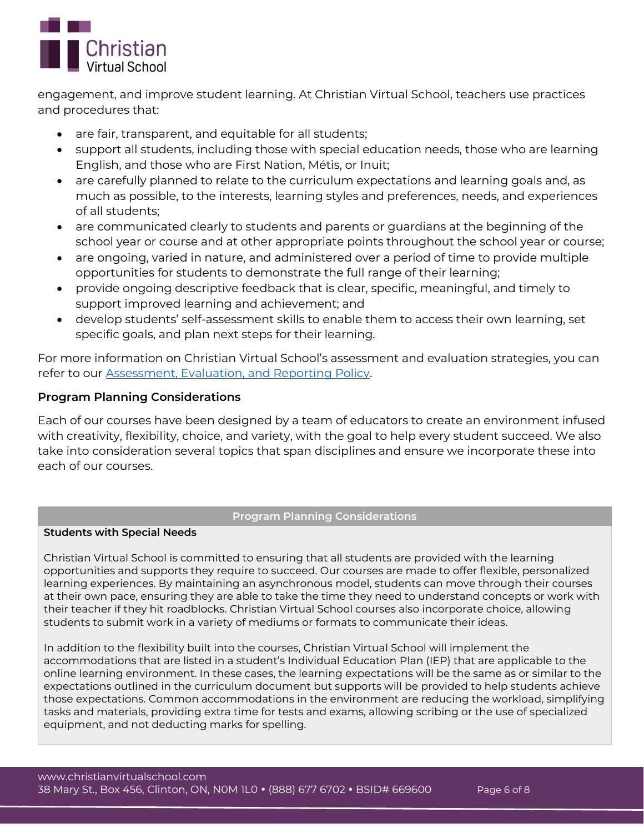

engagement, and improve student learning. At Christian Virtual School, teachers use practices and procedures that:

- are fair, transparent, and equitable for all students;
- support all students, including those with special education needs, those who are learning English, and those who are First Nation, Métis, or Inuit;
- are carefully planned to relate to the curriculum expectations and learning goals and, as much as possible, to the interests, learning styles and preferences, needs, and experiences of all students;
- are communicated clearly to students and parents or guardians at the beginning of the school year or course and at other appropriate points throughout the school year or course;
- are ongoing, varied in nature, and administered over a period of time to provide multiple opportunities for students to demonstrate the full range of their learning;
- provide ongoing descriptive feedback that is clear, specific, meaningful, and timely to support improved learning and achievement; and
- develop students' self-assessment skills to enable them to access their own learning, set specific goals, and plan next steps for their learning.

For more information on Christian Virtual School's assessment and evaluation strategies, you can refer to our [Assessment, Evaluation, and Reporting Policy.](https://www.christianvirtualschool.com/wp-content/uploads/2020/07/Assessment-Evaluation-and-Reporting.pdf)

# **Program Planning Considerations**

Each of our courses have been designed by a team of educators to create an environment infused with creativity, flexibility, choice, and variety, with the goal to help every student succeed. We also take into consideration several topics that span disciplines and ensure we incorporate these into each of our courses.

# **Program Planning Considerations**

# **Students with Special Needs**

Christian Virtual School is committed to ensuring that all students are provided with the learning opportunities and supports they require to succeed. Our courses are made to offer flexible, personalized learning experiences. By maintaining an asynchronous model, students can move through their courses at their own pace, ensuring they are able to take the time they need to understand concepts or work with their teacher if they hit roadblocks. Christian Virtual School courses also incorporate choice, allowing students to submit work in a variety of mediums or formats to communicate their ideas.

In addition to the flexibility built into the courses, Christian Virtual School will implement the accommodations that are listed in a student's Individual Education Plan (IEP) that are applicable to the online learning environment. In these cases, the learning expectations will be the same as or similar to the expectations outlined in the curriculum document but supports will be provided to help students achieve those expectations. Common accommodations in the environment are reducing the workload, simplifying tasks and materials, providing extra time for tests and exams, allowing scribing or the use of specialized equipment, and not deducting marks for spelling.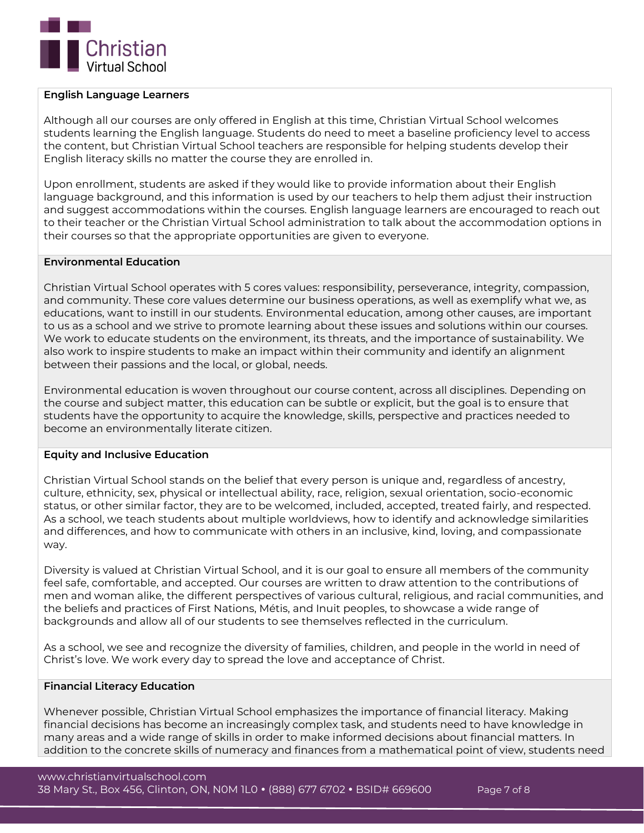

### **English Language Learners**

Although all our courses are only offered in English at this time, Christian Virtual School welcomes students learning the English language. Students do need to meet a baseline proficiency level to access the content, but Christian Virtual School teachers are responsible for helping students develop their English literacy skills no matter the course they are enrolled in.

Upon enrollment, students are asked if they would like to provide information about their English language background, and this information is used by our teachers to help them adjust their instruction and suggest accommodations within the courses. English language learners are encouraged to reach out to their teacher or the Christian Virtual School administration to talk about the accommodation options in their courses so that the appropriate opportunities are given to everyone.

# **Environmental Education**

Christian Virtual School operates with 5 cores values: responsibility, perseverance, integrity, compassion, and community. These core values determine our business operations, as well as exemplify what we, as educations, want to instill in our students. Environmental education, among other causes, are important to us as a school and we strive to promote learning about these issues and solutions within our courses. We work to educate students on the environment, its threats, and the importance of sustainability. We also work to inspire students to make an impact within their community and identify an alignment between their passions and the local, or global, needs.

Environmental education is woven throughout our course content, across all disciplines. Depending on the course and subject matter, this education can be subtle or explicit, but the goal is to ensure that students have the opportunity to acquire the knowledge, skills, perspective and practices needed to become an environmentally literate citizen.

### **Equity and Inclusive Education**

Christian Virtual School stands on the belief that every person is unique and, regardless of ancestry, culture, ethnicity, sex, physical or intellectual ability, race, religion, sexual orientation, socio-economic status, or other similar factor, they are to be welcomed, included, accepted, treated fairly, and respected. As a school, we teach students about multiple worldviews, how to identify and acknowledge similarities and differences, and how to communicate with others in an inclusive, kind, loving, and compassionate way.

Diversity is valued at Christian Virtual School, and it is our goal to ensure all members of the community feel safe, comfortable, and accepted. Our courses are written to draw attention to the contributions of men and woman alike, the different perspectives of various cultural, religious, and racial communities, and the beliefs and practices of First Nations, Métis, and Inuit peoples, to showcase a wide range of backgrounds and allow all of our students to see themselves reflected in the curriculum.

As a school, we see and recognize the diversity of families, children, and people in the world in need of Christ's love. We work every day to spread the love and acceptance of Christ.

### **Financial Literacy Education**

Whenever possible, Christian Virtual School emphasizes the importance of financial literacy. Making financial decisions has become an increasingly complex task, and students need to have knowledge in many areas and a wide range of skills in order to make informed decisions about financial matters. In addition to the concrete skills of numeracy and finances from a mathematical point of view, students need